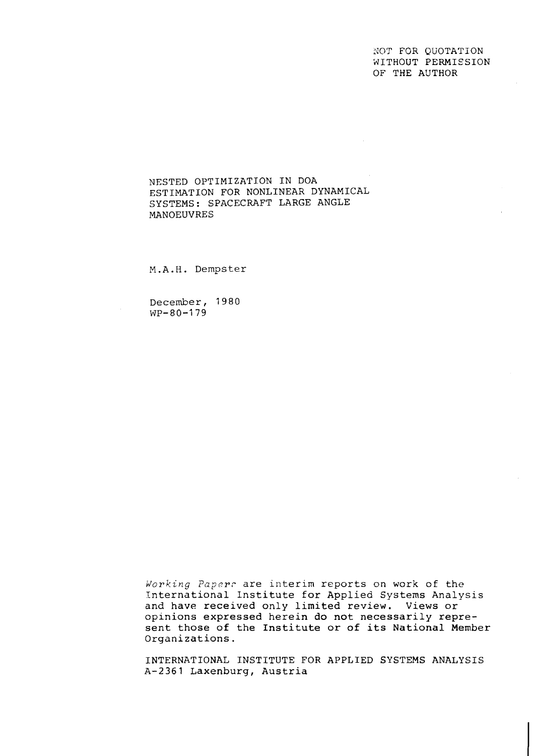NOT FGR QUOTATION WITHOUT PERMIESION OF THE AUTHOR

NESTED OPTIMIZATION IN DOA ESTIMATION FOR NONLINEAR DYNAMICAL SYSTEMS: SPACECRAFT LARGE ANGLE MANOEUVRES

M.A.H. Dempster

December, 1980  $WP-80-179$ 

*idorking Papsrc* are interim reports on work of the International Institute for Applied Systems Analysis and have received only limited review. Views or opinions expressed herein do not necessarily represent those of the Institute or of its National Member Organizations.

INTERNATIONAL INSTITUTE FOR APPLIED SYSTEMS ANALYSIS A-2361 Laxenburg, Austria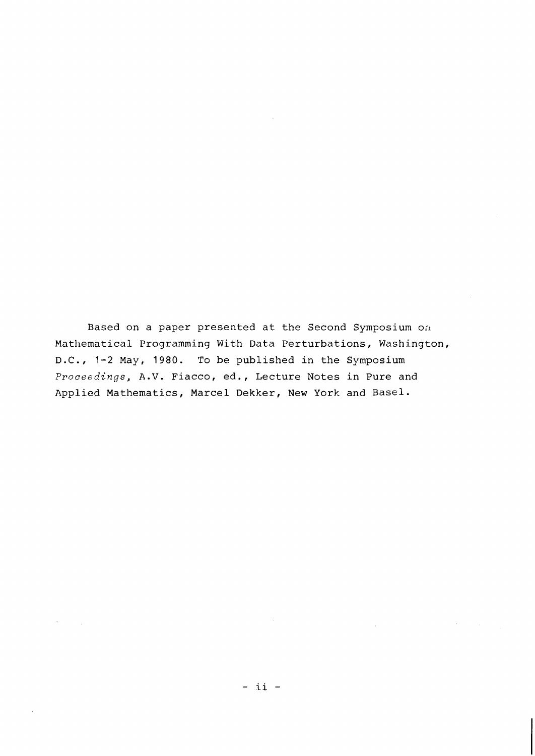Based on a paper presented at the Second Symposium on Mathematical Programming With Data Perturbations, Washington, D.C., 1-2 May, 1980. To be published in the Symposium Proceedings, A.V. Fiacco, ed., Lecture Notes in Pure and Applied Mathematics, Marcel Dekker, New York and Basel.

 $\sim$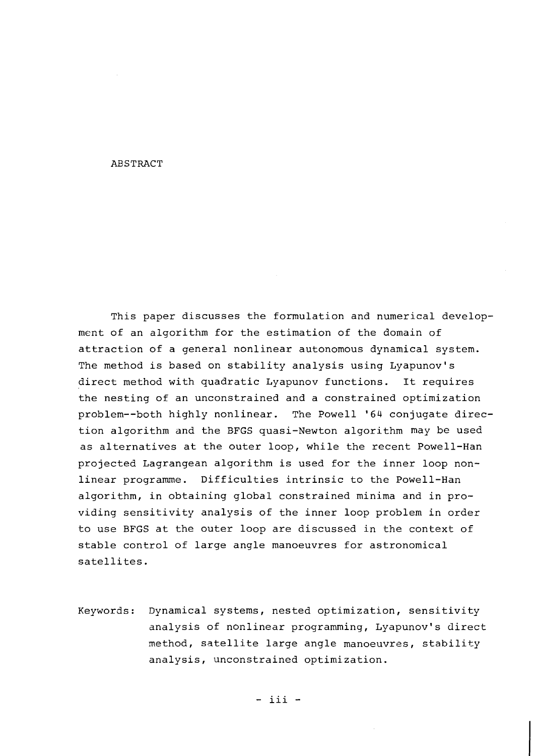### ABSTRACT

This paper discusses the formulation and numerical development of an algorithm for the estimation of the domain of attraction of a general nonlinear autonomous dynamical system. The method is based on stability analysis using Lyapunov's direct method with quadratic Lyapunov functions. It requires the nesting of an unconstrained and a constrained optimization problem--both highly nonlinear. The Powell '64 conjugate direction algorithm and the BFGS quasi-Newton algorithm may be used as alternatives at the outer loop, while the recent Powell-Han projected Lagrangean algorithm is used for the inner loop nonlinear programme. Difficulties intrinsic to the Powell-Han algorithm, in obtaining global constrained minima and in providing sensitivity analysis of the inner loop problem in order to use BFGS at the outer loop are discussed in the context of stable control of large angle manoeuvres for astronomical satellites.

Keywords: Dynamical systems, nested optimization, sensitivity analysis of nonlinear programming, Lyapunov's direct method, satellite large angle manoeuvres, stability analysis, unconstrained optimization.

 $-$  iii  $-$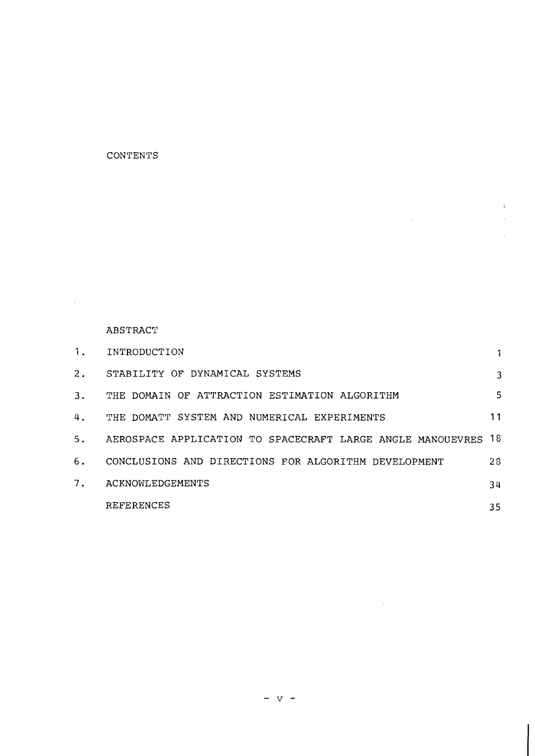# **CONTENTS**

# **ABSTRACT**

 $\label{eq:2} \frac{1}{\sqrt{2}}\sum_{i=1}^{n-1}\frac{1}{\sqrt{2}}\sum_{i=1}^{n-1}\frac{1}{\sqrt{2}}\sum_{i=1}^{n-1}\frac{1}{\sqrt{2}}\sum_{i=1}^{n-1}\frac{1}{\sqrt{2}}\sum_{i=1}^{n-1}\frac{1}{\sqrt{2}}\sum_{i=1}^{n-1}\frac{1}{\sqrt{2}}\sum_{i=1}^{n-1}\frac{1}{\sqrt{2}}\sum_{i=1}^{n-1}\frac{1}{\sqrt{2}}\sum_{i=1}^{n-1}\frac{1}{\sqrt{2}}\sum_{i=1}^{n-1}\frac{$ 

| 1.    | INTRODUCTION                                                  |    |
|-------|---------------------------------------------------------------|----|
| $2$ . | STABILITY OF DYNAMICAL SYSTEMS                                | 3  |
| 3.    | THE DOMAIN OF ATTRACTION ESTIMATION ALGORITHM                 | 5  |
| 4.    | THE DOMATT SYSTEM AND NUMERICAL EXPERIMENTS                   | 11 |
| 5.    | AEROSPACE APPLICATION TO SPACECRAFT LARGE ANGLE MANOUEVRES 18 |    |
| 6.    | CONCLUSIONS AND DIRECTIONS FOR ALGORITHM DEVELOPMENT          | 28 |
| 7.    | ACKNOWLEDGEMENTS                                              | 34 |
|       | <b>REFERENCES</b>                                             | 35 |

 $\mathbf{i}$  $\frac{1}{3}$ 

 $\sim 10^{-10}$ 

 $\sim 100$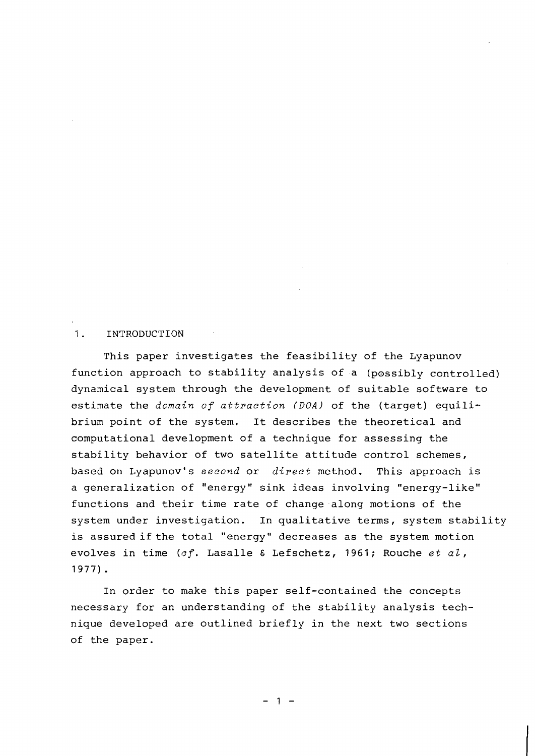## 1. INTRODUCTION

This paper investigates the feasibility of the Lyapunov function approach to stability analysis of a (possibly controlled) dynamical system through the development of suitable software to estimate the domain of attraction *(DOA)* of the (target) equilibrium point of the system. It describes the theoretical and computational development of a technique for assessing the stability behavior of two satellite attitude control schemes, based on Lyapunov's second or direct method. This approach is a generalization of "energy" sink ideas involving "energy-like" functions and their time rate of change along motions of the system under investigation. In qualitative terms, system stability is assured if the total "energy" decreases as the system motion evolves in time (cf. Lasalle & Lefschetz, 1961; Rouche et al, 1977).

In order to make this paper self-contained the concepts necessary for an understanding of the stability analysis technique developed are outlined briefly in the next two sections of the paper.

 $1 -$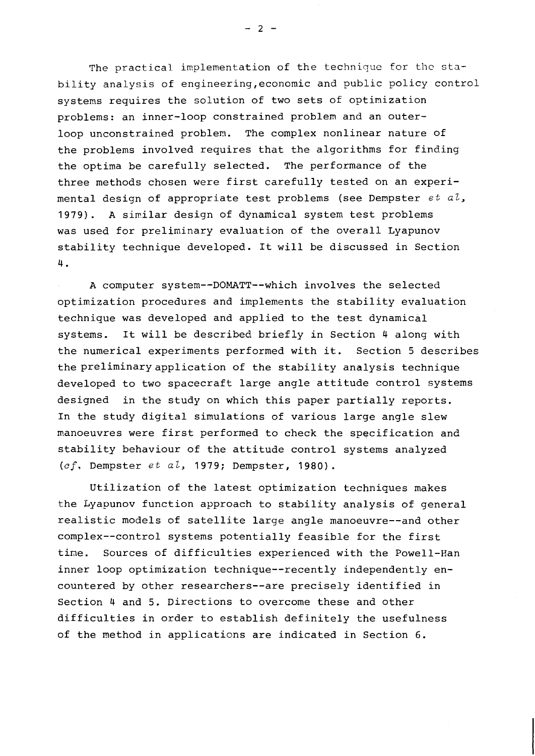The practical implementation of the technique for the stability analysis of engineering,economic and public policy control systems requires the solution of two sets of optimization problems: an inner-loop constrained problem and an outerloop unconstrained problem. The complex nonlinear nature of the problems involved requires that the algorithms for finding the optima be carefully selected. The performance of the three methods chosen were first carefully tested on an experimental design of appropriate test problems (see Dempster *et al*, **1979).** *A* sinilar design of dynamical system test problems was used for preliminary evaluation of the overall Lyapunov stability technique developed. It will be discussed in Section 4.

A computer system--DOMATT--which involves the selected optimization procedures and implements the stability evaluation technique was developed and applied to the test dynamical systems. It will be described briefly in Section 4 along with the numerical experiments performed with it. Section 5 describes the preliminaryapplication of the stability analysis technique developed to two spacecraft large angle attitude control systems designed in the study on which this paper partially reports. In the study digital simulations of various large angle slew manoeuvres were first performed to check the specification and stability behaviour of the attitude control systems analyzed (cf. Dempster *et aZ,* **1979;** Dempster, **1980).** 

Utilization of the latest optimization techniques makes the Lyapunov function approach to stability analysis of general realistic models of satellite large angle manoeuvre--and other complex--control systems potentially feasible for the first tine. Sources of difficulties experienced with the Powell-Ran inner loop optimization technique--recently independently encountered by other researchers--are precisely identified in Section 4 and 5. Directions to overcome these and other difficulties in order to establish definitely the usefulness of the method in applications are indicated in Section 6.

 $-2 -$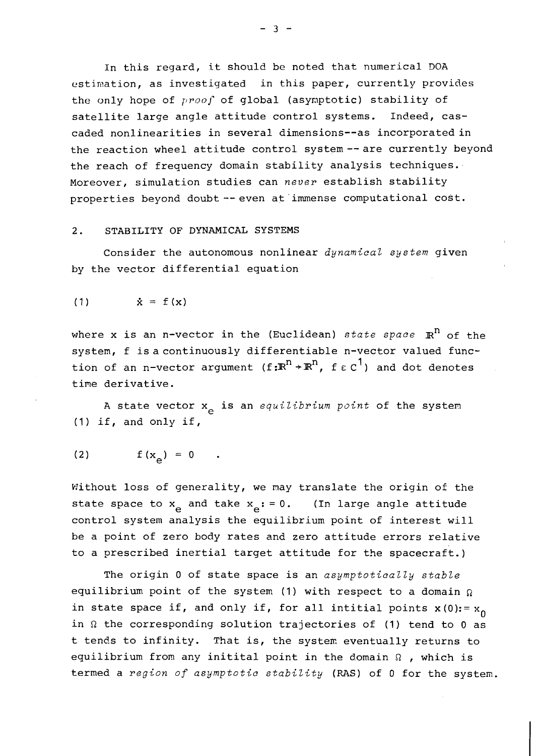In this regard, it should be noted that numerical DOA estimation, as investigated in this paper, currently provides the only hope of *prooj-* of global (asymptotic) stability of satellite large angle attitude control systems. Indeed, cascaded nonlinearities in several dimensions--as incorporatedin the reaction wheel attitude control system--are currently beyond the reach of frequency domain stability analysis techniques. Moreover, simulation studies can *never* establish stability properties beyond doubt -- even at immense computational cost.

## 2. STABILITY OF DYNAMICAL SYSTEMS

Consider the autonomous nonlinear *dynamical system* given by the vector differential equation

$$
\dot{x} = f(x)
$$

where x is an n-vector in the (Euclidean) *state space*  $\mathbb{R}^n$  of the system, f is a continuously differentiable n-vector valued function of an n-vector argument  $(f: \mathbb{R}^n \rightarrow \mathbb{R}^n)$ ,  $f \in C^1$  and dot denotes time derivative.

A state vector x<sub>2</sub> is an *equilibrium point* of the system (1) if, and only if,

$$
(2) \t f(x_{\alpha}) = 0.
$$

Without loss of generality, we may translate the origin of the state space to  $x_{\alpha}$  and take  $x_{\alpha}$ : = 0. (In large angle attitude control system analysis the equilibrium point of interest will be a point of zero body rates and zero attitude errors relative to a prescribed inertial target attitude for the spacecraft.)

The origin **0** of state space is an *asymptotically stable*  equilibrium point of the system (1) with respect to a domain  $\Omega$ in state space if, and only if, for all intitial points  $x(0)$ : =  $x_0$ in  $\Omega$  the corresponding solution trajectories of (1) tend to 0 as t tends to infinity. That is, the system eventually returns to equilibrium from any initital point in the domain  $\Omega$  , which is termed a *region of asymptotic stability* (PAS) of 0 for the systen.

 $-3 -$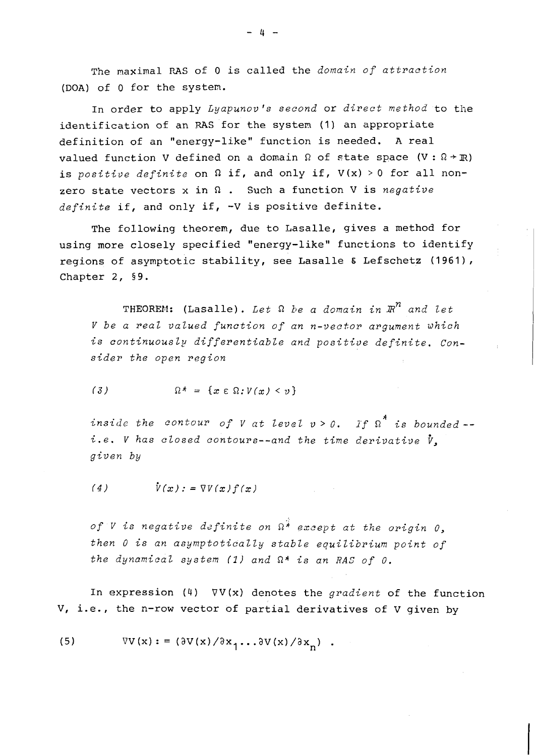The maximal **PAS** of 0 is called the *domain of attraction*  (DOA) of 0 for the system.

In order to apply *Lyapunov's second* or *direct method* to the identification of an **MS** for the system (I) an appropriate definition of an "energy-like" function is needed. A real valued function V defined on a domain  $\Omega$  of state space (V:  $\Omega$  + R) is *positive definite* on  $\Omega$  if, and only if,  $V(x) > 0$  for all nonzero state vectors x in R . Such a function V is *negative definite* if, and only if, -V is positive definite.

The following theorem, due to Lasalle, gives a method for using more closely specified "energy-like" functions to identify regions of asymptotic stability, see Lasalle **E** Lefschetz (1961), Chapter 2, 59.

THEOREM: (Lasalle). Let  $\Omega$  be a domain in  $\mathbb{R}^n$  and let *V be a real valued function of an n-vector argument which*  is continuously differentiable and positive definite. Con*sider the open region* 

$$
(3) \hspace{1cm} \Omega^* = \{x \in \Omega : V(x) < v\}
$$

inside the contour of V at level  $v > 0$ . If  $\Omega^*$  is bounded -i.e. V has closed contours--and the time derivative  $\dot{v}$ , *given by* 

$$
(4) \qquad \dot{V}(x):=\nabla V(x)f(x)
$$

*of V is negative dcfinite on* R\* *except at the origin* 0, *then* 0 *is an asymptotically stable equilibrium point of the dynamical system* **(2)** *and* R\* *is an* RAS *of* 0.

In expression (4) VV(x) denotes the *gradient* of the function V, i.e., the n-row vector of partial derivatives of V given by

 $\nabla V(x)$ : =  $(\partial V(x)/\partial x_1 \dots \partial V(x)/\partial x_n)$ .  $(5)$ 

 $4 -$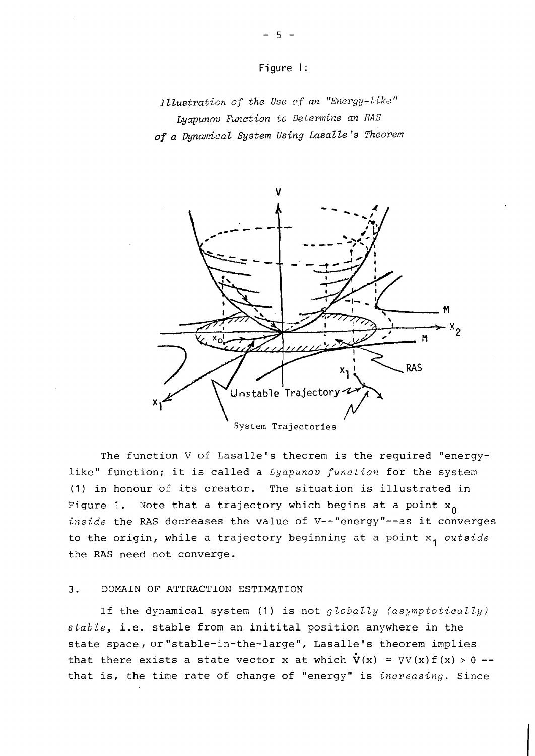

Illustration of the Use of an "Energy-like" Lyapunov Function to Determine an RAS **of** *a Dynamical System Udng LasaZle 's Theorem* 



The function V of Lasalle's theorem is the required "energylike" function; it is called a *Lyapunov function* for the system **(1)** in honour of its creator. The situation is illustrated in Figure 1. Note that a trajectory which begins at a point  $x_0$ inside the RAS decreases the value of V--"energy"--as it converges to the origin, while a trajectory beginning at a point  $x_1$  outside the RAS need not converge.

# **3.** DOMAIN OF ATTRACTION ESTIMATION

If the dynamical system (1) is not *globally (asymptotically) stable,* i.e. stable from an initital position anywhere in the state space, or "stable-in-the-large", Lasalle's theorem implies that there exists a state vector **x** at which  $\dot{V}(x) = \nabla V(x) f(x) > 0$  -that is, the time rat.e of change of "energy" is *increasing.* Since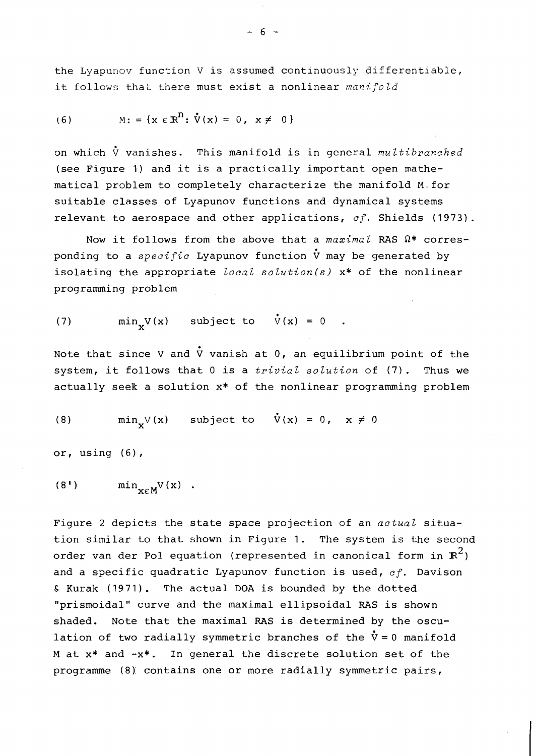the Lyapunov function V is assumed continuously differentiable, it follows that there must exist a nonlinear *manifold* 

(6) 
$$
M: = \{x \in \mathbb{R}^n : \mathring{V}(x) = 0, x \neq 0\}
$$

on which  $\dot{V}$  vanishes. This manifold is in general *multibranched* (see Figure *1)* and it is a practically important open mathematical problem to completely characterize the manifold M. for suitable classes of Lyapunov functions and dynamical systems relevant to aerospace and other applications, *cf.* Shields (1973).

Now it follows from the above that a *maximal* RAS  $\Omega^*$  corresponding to a *specific* Lyapunov function *V* may be generated by isolating the appropriate *Zocal solutionfs)* x\* of the nonlinear programming problem

(7) 
$$
\min_{x} V(x) \quad \text{subject to} \quad \dot{V}(x) = 0 .
$$

Note that since V and  $\dot{V}$  vanish at 0, an equilibrium point of the system, it follows that 0 is a *trivial solution* of (7). Thus we actually seek a solution x\* of the nonlinear programming problem

(8) 
$$
\min_{\mathbf{x}} \mathbf{V}(\mathbf{x}) \quad \text{subject to} \quad \mathbf{V}(\mathbf{x}) = 0, \quad \mathbf{x} \neq 0
$$

or, using (6),

$$
(8!) \qquad \qquad \min_{\mathbf{x} \in \mathbf{M}} V(\mathbf{x}) \quad .
$$

Figure 2 depicts the state space projection of an *actual* situation similar to that shown in Figure 1. The system is the second order van der Pol equation (represented in canonical form in  $\mathbb{R}^2$ ) and a specific quadratic Lyapunov function is used, *cf.* Davison & Kurak (1971). The actual DOA is bounded by the dotted "prismoidal" curve and the maximal ellipsoidal RAS is shown shaded. Note that the maximal RAS is determined by the osculation of two radially symmetric branches of the  $\dot{v} = 0$  manifold M at  $x^*$  and  $-x^*$ . In general the discrete solution set of the programme (8) contains one or more radially symmetric pairs,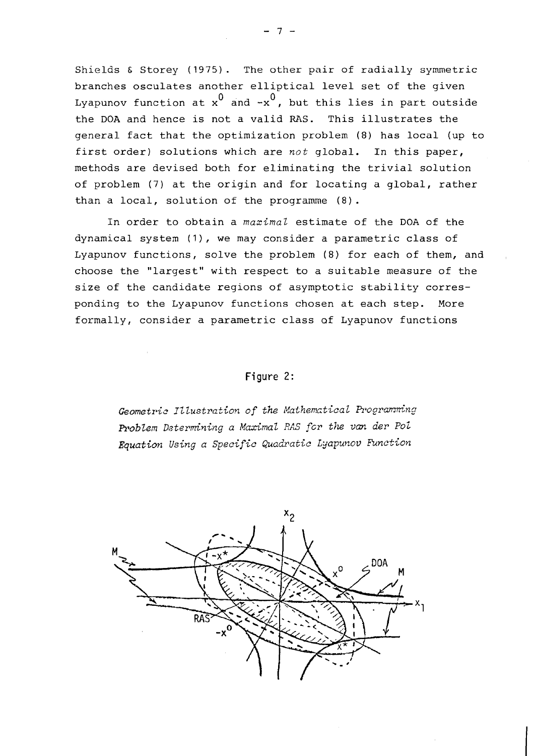Shields & Storey (1975). The other pair of radially symmetric branches osculates another elliptical level set of the given Lyapunov function at  $x^0$  and  $-x^0$ , but this lies in part outside the DOA and hence is not a valid RAS. This illustrates the general fact that the optimization problem (8) has local (up to first order) solutions which are not global. In this paper, methods are devised both for eliminating the trivial solution of problem (7) at the origin and for locating a global, rather than a local, solution of the programme (8).

In order to obtain a *maxima2* estimate of the DOA of the dynamical system (I), we may consider a parametric class of Lyapunov functions, solve the problem (8) for each of them, and choose the "largest" with respect to a suitable measure of the size of the candidate regions of asymptotic stability corresponding to the Lyapunov functions chosen at each step. More formally, consider a parametric class af Lyapunov functions

# **Figure** 2:

*Geometric Illustration of the Mathematical Programming Pz.obZein Datermining a* **Maxima2** *RA.5 fcr the van der* **Poi**  Equation Using a Specific Quadratic Lyapunov Function

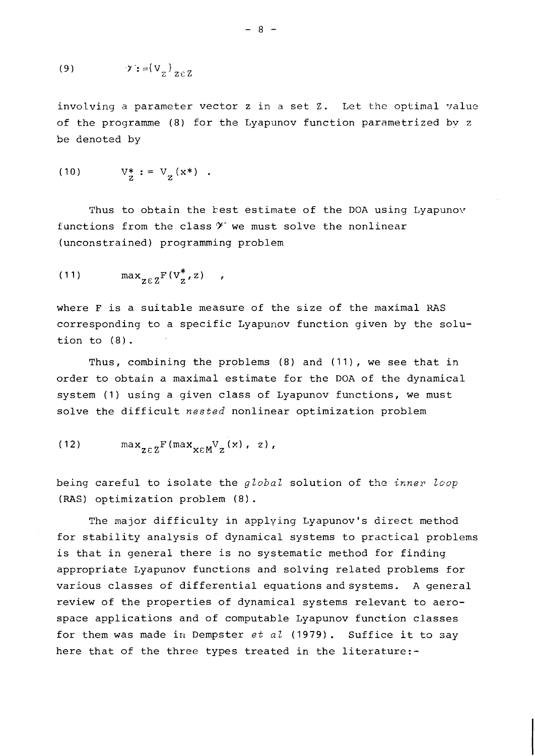involving a parameter vector  $z$  in a set  $z$ . Let the optimal value of the programme (8) for the Lyapunov function parametrized by z be denoted by

(10) 
$$
V_Z^* := V_Z(x^*)
$$
.

Thus to obtain the best estimate of the DOA using Lyapunov functions from the class  $Y$  we must solve the nonlinear (unconstrained) programming problem

$$
(11) \qquad \qquad \max_{z \in Z} F(V_z^*, z) \qquad ,
$$

where F is a suitable measure of the size of the maximal RAS corresponding to a specific Lyapunov function given by the solution to (8) .

Thus, combining the problems (8) and (11), we see that in order to obtain a maximal estimate for the DOA of the dynamical system (1) using a given class of Lyapunov functions, we must solve the difficult *nested* nonlinear optimization problem

$$
(12) \quad \max_{z \in Z} F(\max_{x \in M} V_{z}(x), z),
$$

being careful to isolate the *global* solution of the *inner loop*  (RAS) optimization problem **(8)** .

The major difficulty in applying Lyapunov's direct method for stability analysis of dynamical systems to practical problems is that in general there is no systematic method for finding appropriate Lyapunov functions and solving related problems for various classes of differential equations and systems. A general review of the properties of dynamical systems relevant to aerospace applications and of computable Lyapunov function classes for them was made in Dempster *et al* (1979). Suffice it to say here that of the three types treated in the literature:-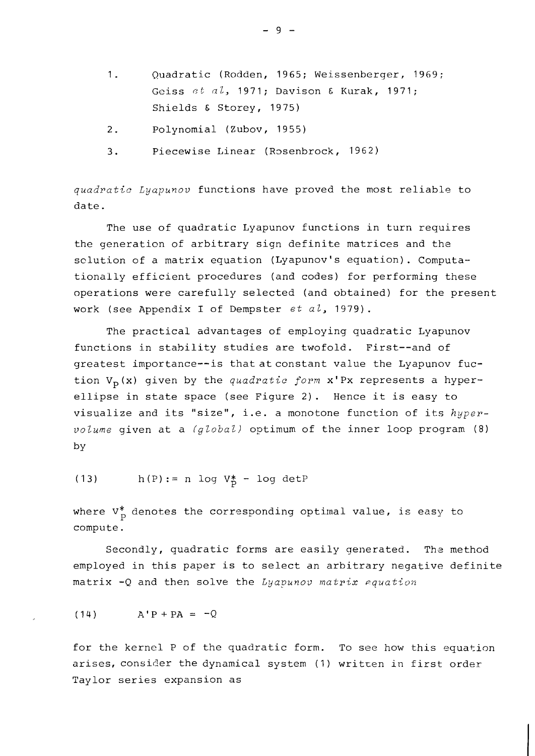- 1. Quadratic (Rodden, 1965; Weissenberger, 1969; Geiss et al, 1971; Davison & Kurak, 1971; Shields & Storey, 1975)
- 2. Polynomial (Zubov, 1955)
- 3. Piecewise Linear (Rosenbrock, 1962)

*quadratic Lyapunov* functions have proved the most reliable to date.

The use of quadratic Lyapunov functions in turn requires the generation of arbitrary sign definite matrices and the sclution of a matrix equation (Lyapunov's equation). Computationally efficient procedures (and codes) for performing these operations were carefully selected (and obtained) for the present work (see Appendix I of Dempster *et al,* 1979).

The practical advantages of employing quadratic Lyapunov functions in stability studies are twofold. First--and of greatest importance--is that at constant value the Lyapunov fuction  $V_p(x)$  given by the *quadratic form*  $x'Px$  represents a hyperellipse in state space (see Figure 2). Hence it is easy to visualize and its "size", i.e. a monotone function of its *hyperz~olume* given at a *(global)* optimum of the inner loop program (8) by

(13) h(P) := n log  $V_P^*$  - log detP

where  $V_p^*$  denotes the corresponding optimal value, is easy to compute.

Secondly, quadratic forms are easily generated. The method employed in this paper is to select an arbitrary negative definite matrix -Q and then solve the *Lyapunov matrix equation* 

$$
(14) \qquad A'P + PA = -Q
$$

for the kernel P of the quadratic form. To see how this equation arises, consider the dynamical system (1) written in first order Taylor series expansion as

 $-9 -$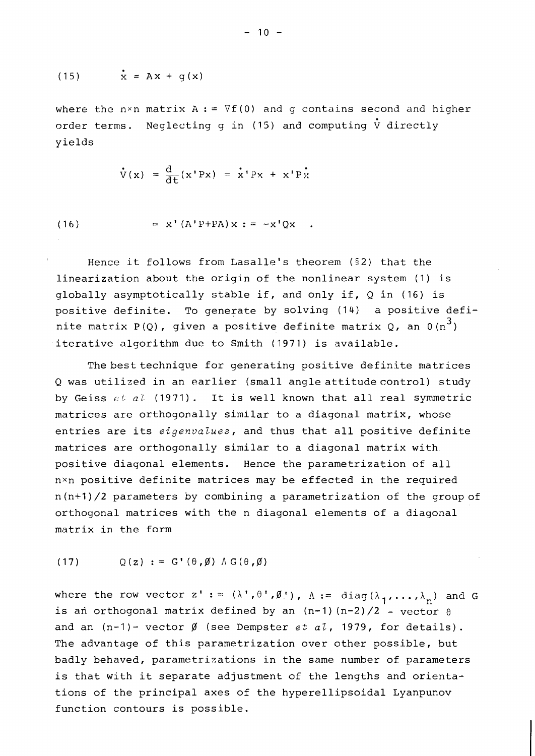$$
(15) \qquad \mathbf{x} = \mathbf{A}\mathbf{x} + \mathbf{g}(\mathbf{x})
$$

where the n×n matrix  $A := \nabla f(0)$  and g contains second and higher order terms. Neglecting q in (15) and computing  $\dot{V}$  directly yields

$$
\dot{\mathbf{V}}(\mathbf{x}) = \frac{\mathbf{d}}{\mathbf{d}\mathbf{t}}(\mathbf{x}^\top \mathbf{P} \mathbf{x}) = \dot{\mathbf{x}}^\top \mathbf{P} \mathbf{x} + \mathbf{x}^\top \mathbf{P} \dot{\mathbf{x}}
$$

(16) = 
$$
x' (A' P + P A) x := -x' Q x
$$
.

Hence it follows from Lasalle's theorem (52) that the linearization about the origin of the nonlinear system (1) is globally asymptotically stable if, and only if, Q in (16) is positive definite. To generate by solving (14) a positive definite matrix P(Q), given a positive definite matrix Q, an  $0(n^3)$ iterative algorithm due to Smith (1971) is available.

The best technique for generating positive definite matrices Q was utilized in an earlier (small angle attitude control) study by Geiss  $c\,t$  a<sup>l</sup> (1971). It is well known that all real symmetric matrices are orthogonally similar to a diagonal matrix, whose entries are its *eigenvalues*, and thus that all positive definite matrices are orthogonally similar to a diagonal matrix with positive diagonal elements. Hence the parametrization of all nxn positive definite matrices may be effected in the required n(n+1)/2 parameters by combining a parametrization of the groupof orthogonal matrices with the n diagonal elements of a diagonal matrix in the form

 $Q(z) := G'(\theta, \emptyset) \wedge G(\theta, \emptyset)$  $(17)$ 

where the row vector  $z' := (\lambda', \theta', \emptyset')$ ,  $\Lambda := diag(\lambda_1, ..., \lambda_n)$  and G is an orthogonal matrix defined by an  $(n-1)$   $(n-2)/2$  - vector  $\theta$ and an  $(n-1)$ - vector  $\emptyset$  (see Dempster *et al*, 1979, for details). The advantage of this parametrization over other possible, but badly behaved, parametrizations in the same number of parameters is that with it separate adjustment of the lengths and orientations of the principal axes of the hyperellipsoidal Lyanpunov function contours is possible.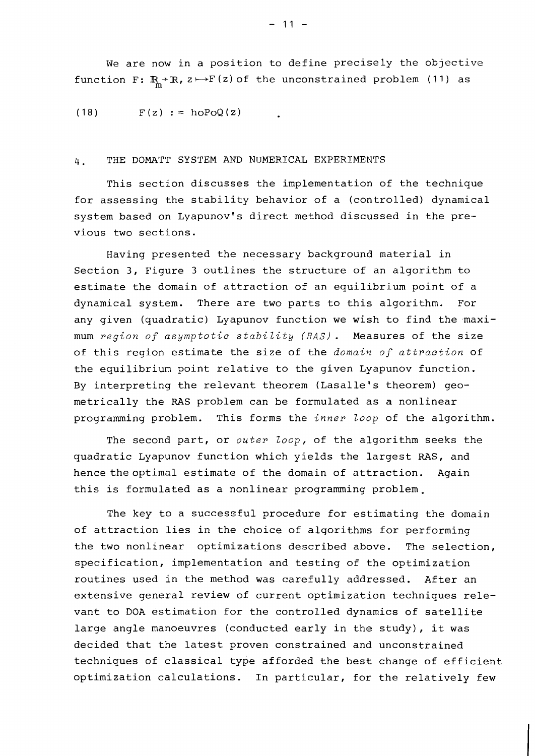$(18)$  $F(z) := h \circ PoQ(z)$ 

# 4. THE DOMATT SYSTEM AND NUMERICAL EXPERIMENTS

This section discusses the implementation of the technique for assessing the stability behavior of a (controlled) dynamical system based on Lyapunov's direct method discussed in the previous two sections.

Having presented the necessary background material in Section 3, Figure 3 outlines the structure of an algorithm to estimate the domain of attraction of an equilibrium point of a dynamical system. There are two parts to this algorithm. For any given (quadratic) Lyapunov function we wish to find the maximum *region of asymptotic stability (RAS).* Measures of the size of this region estimate the size of the *domain of attraction* of the equilibrium point relative to the given Lyapunov function. By interpreting the relevant theorem (Lasalle's theorem) geometrically the RAS problem can be formulated as a nonlinear programming problem. This forms the *inner loop* of the algorithm.

The second part, or *outer loop,* of the algorithm seeks the quadratic Lyapunov function which yields the largest RAS, and hence the optimal estimate of the domain of attraction. Again this is formulated as a nonlinear programming problem.

The key to a successful procedure for estimating the domain of attraction lies in the choice of algorithms for performing the two nonlinear optimizations described above. The selection, specification, implementation and testing of the optimization routines used in the method was carefully addressed. After an extensive general review of current optimization techniques relevant to DOA estimation for the controlled dynamics of satellite large angle manoeuvres (conducted early in the study), it was decided that the latest proven constrained and unconstrained techniques of classical type afforded the best change of efficient optimization calculations. In particular, for the relatively few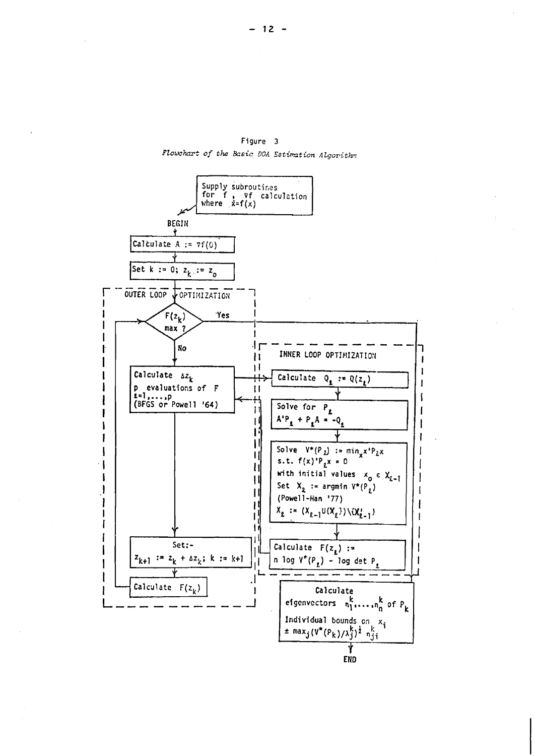

Figure 3 Flowchart of the Basic DOA Estimation Algorithm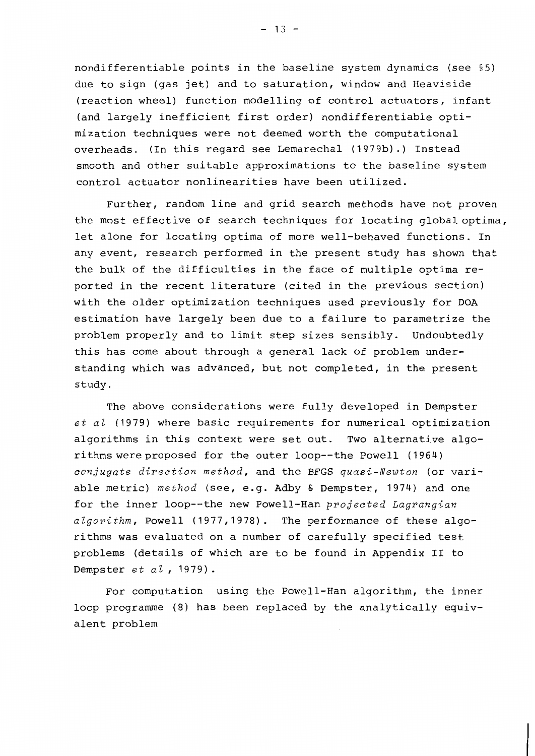nondifferentiable points in the baseline system dynamics (see §5) due to sign (gas jet) and to saturation, window and Heaviside (reaction wheel) function modelling of control actuators, infant (and largely inefficient first order) nondifferentiable optimization techniques were not deemed worth the computational overheads. (In this regard see Lemarechal (1979b).) Instead smooth and other suitable approximations to the baseline system control actuator nonlinearities have been utilized.

Further, random line and grid search methods have not proven the most effective of search techniques for locating global optima, let alone for locating optima of more well-behaved functions. In any event, research performed in the present study has shown that the bulk of the difficulties in the face of multiple optima reported in the recent literature (cited in the previous section) with the older optimization techniques used previously for DOA estimation have largely been due to a failure to parametrize the problem properly and to limit step sizes sensibly. Undoubtedly this has come about through a general lack of problem understanding which was advanced, but not completed, in the present study.

The above considerations were fully developed in Dempster  $et$   $a$ l (1979) where basic requirements for numerical optimization algorithms in this context were set out. Two alternative algorithms were proposed for the outer loop--the Powell (1964) conjugate direction method, and the BFGS quasi-Newton (or variable metric) method (see, e.g. Adby & Dempster, 1974) and one for the inner loop--the new Powell-Han projected Lagrangian algorithm, Powell (1977,1978). The performance of these algorithms was evaluated on a number of carefully specified test problems (details of which are to be found in Appendix II to Dempster  $et$   $a l$ , 1979).

For computation using the Powell-Han algorithm, the inner loop programme (8) has been replaced by the analytically equivalent problem

 $-13 -$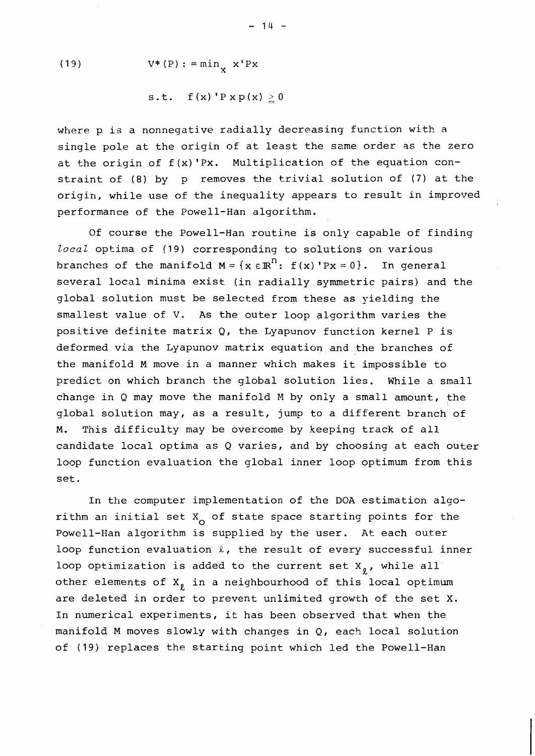(19) 
$$
V^*(P) := min_{X} x' Px
$$

$$
s.t. \quad f(x) \, 'P \, x \, p(x) \geq 0
$$

where p is a nonnegative radially decreasing function with a single pole at the origin of at least the same order as the zero at the origin of  $f(x)'Px$ . Multiplication of the equation constraint of (8) by p removes the trivial solution of (7) at the origin, while use of the inequality appears to result in improved performance of the Powell-Han algorithm.

Of course the Powell-Han routine is only capable of finding local optima of (19) corresponding to solutions on various branches of the manifold  $M = \{x \in \mathbb{R}^n : f(x) \cdot Px = 0\}$ . In general several local minima exist (in radially symmetric pairs) and the global solution must be selected from these as yielding the smallest value of V. As the outer loop algorithm varies the positive definite matrix Q, the Lyapunov function kernel P is deformed via the Lyapunov matrix equation and the branches of the manifold M move in a manner which makes it impossible to predict on which branch the global solution lies. While a small change in Q may move the manifold M by only a small amount, the global solution may, as a result, jump to a different branch of M. This difficulty may be overcome by keeping track of all candidate local optima as Q varies, and by choosing at each outer loop function evaluation the global inner loop optimum from this set.

In the computer implementation of the DOA estimation algorithm an initial set  $X_{0}$  of state space starting points for the Powell-Han algorithm is supplied by the user. At each outer loop function evaluation  $\ell$ , the result of every successful inner loop optimization is added to the current set  $X_{\varrho}$ , while all other elements of  $X_{\varrho}$  in a neighbourhood of this local optimum are deleted in order to prevent unlimited growth of the set X. In numerical experiments, it has been observed that when the manifold M moves slowly with changes in Q, each local solution of (19) replaces the starting point which led the Powell-Han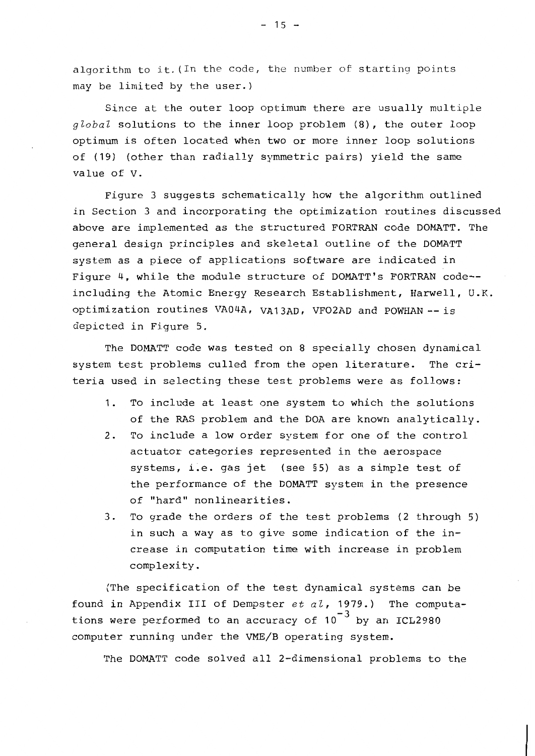algorithm to it. (In the code, the number of starting points may be limited by the user.)

Since at the outer loop optimum there are usually multiple global solutions to the inner loop problem (8), the outer loop optimum is often located when two or more inner loop solutions of (19) (other than radially symmetric pairs) yield the same value of V.

Figure 3 suggests schematically how the algorithm outlined in Section 3 and incorporating the optimization routines discussed above are implemented as the structured FORTRAN code DOMATT. The general design principles and skeletal outline of the DOMATT system as a piece of applications software are indicated in Figure 4, while the module structure of DOMATT's FORTRAN code-including the Atomic Energy Research Establishment, Harwell, U.K. optimization routines VA04A, VA13AD, VFO2AD and POWHAN -- is depicted in Figure 5.

The DOMATT code was tested on 8 specially chosen dynamical system test problems culled from the open literature. The criteria used in selecting these test problems were as follows:

- To include at least one system to which the solutions  $1.$ of the RAS problem and the DOA are known analytically.
- To include a low order system for one of the control  $2.$ actuator categories represented in the aerospace systems, i.e. gas jet (see §5) as a simple test of the performance of the DOMATT system in the presence of "hard" nonlinearities.
- To grade the orders of the test problems (2 through 5)  $3.$ in such a way as to give some indication of the increase in computation time with increase in problem complexity.

(The specification of the test dynamical systems can be found in Appendix III of Dempster  $et$   $a\ell$ , 1979.) The computations were performed to an accuracy of  $10^{-3}$  by an ICL2980 computer running under the VME/B operating system.

The DOMATT code solved all 2-dimensional problems to the

 $-15 -$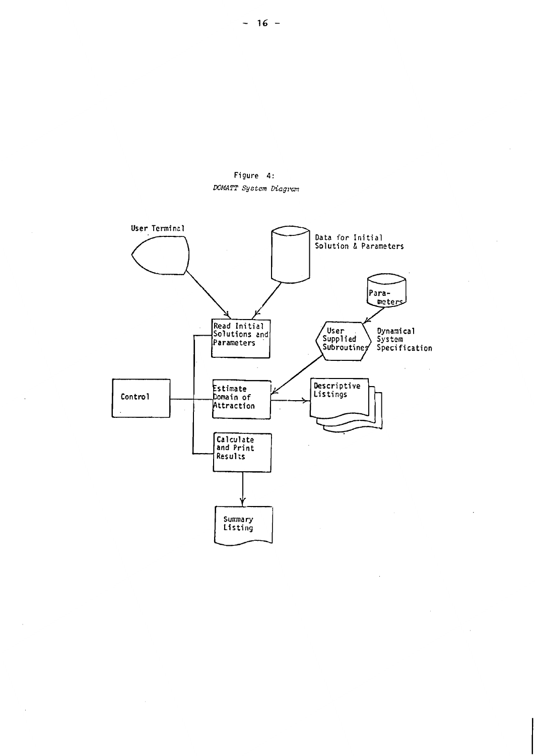

 $\bar{z}$ 

 $\overline{\phantom{a}}$ 

 $\overline{\phantom{a}}$ 

 $\bar{\mathcal{A}}$ 

 $\overline{a}$ 

Figure 4: DOMATT System Diagram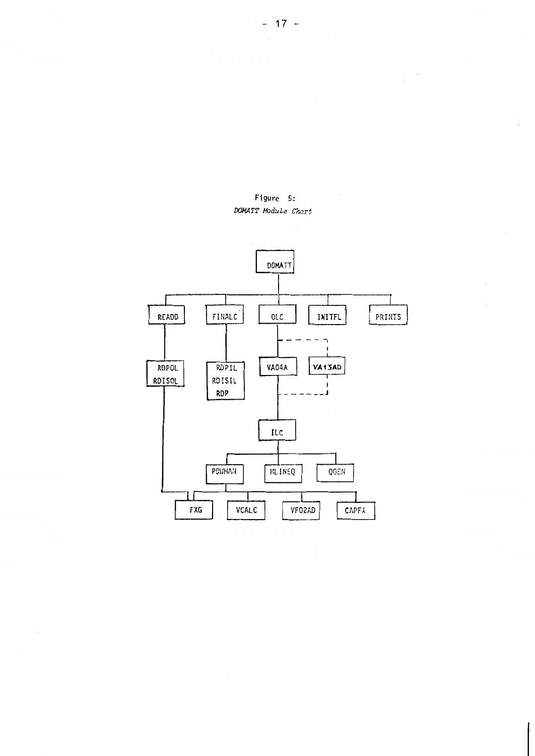

Figure 5: DOMATT Module Chart

 $\overline{\phantom{a}}$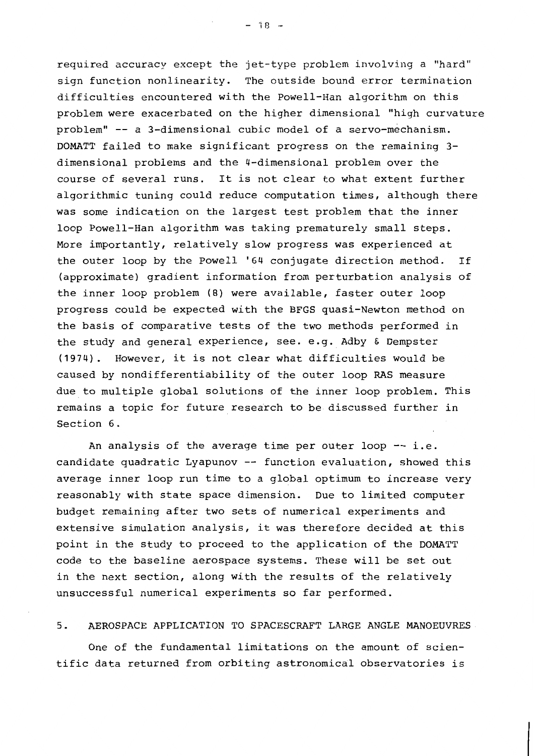required accuracy except the jet-type problem involving a "hard" sign function nonlinearity. The outside bound error termination difficulties encountered with the Powell-Han algorithm on this problem were exacerbated on the higher dimensional "high curvature problem" -- a 3-dimensional cubic model of a servo-mechanism. DOMATT failed to make significant progress on the remaining 3dimensional problems and the 4-dimensional problem over the course of several runs. It is not clear to what extent further algorithmic tuning could reduce computation times, although there was some indication on the largest test problem that the inner loop Powell-Han algorithm was taking prematurely small steps. More importantly, relatively slow progress was experienced at the outer loop by the Powell '64 conjugate direction method. If (approximate) gradient information from perturbation analysis of the inner loop problem (8) were available, faster outer loop progress could be expected with the BFGS quasi-Newton method on the basis of comparative tests of the two methods performed in the study and general experience, see. e.g. Adby & Dempster (1974). However, it is not clear what difficulties would be caused by nondifferentiability of the outer loop RAS measure due to multiple global solutions of the inner loop problem. This remains a topic for future research to be discussed further in Section 6.

An analysis of the average time per outer loop -- i.e. candidate quadratic Lyapunov -- function evaluation, showed this average inner loop run time to a global optimum to increase very reasonably with state space dimension. Due to limited computer budget remaining after two sets of numerical experiments and extensive simulation analysis, it was therefore decided at this point in the study to proceed to the application of the DOMATT code to the baseline aerospace systems. These will be set out in the next section, along with the results of the relatively unsuccessful numerical experiments so far performed.

#### $5.$ AEROSPACE APPLICATION TO SPACESCRAFT LARGE ANGLE MANOEUVRES

One of the fundamental limitations on the amount of scientific data returned from orbiting astronomical observatories is

 $-18 -$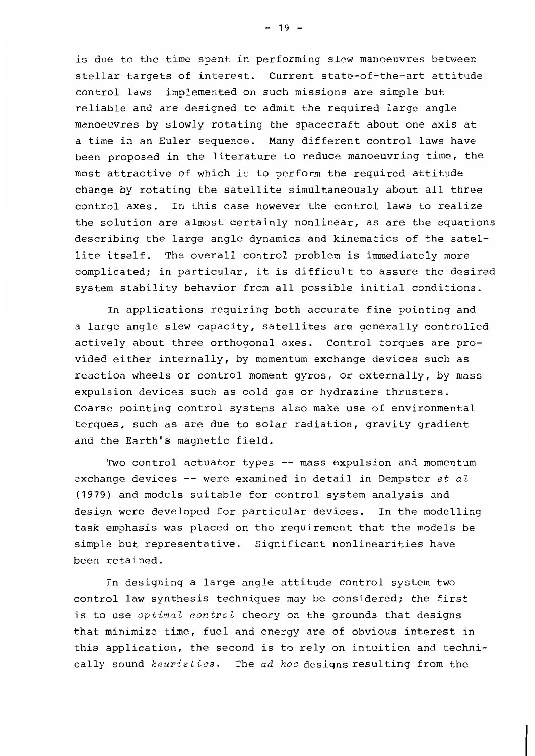is due to the time spent in performing slew manoeuvres between stellar targets of interest. Current state-of-the-art attitude control laws implemented on such missions are simple but reliable and are designed to admit the required large angle manoeuvres by slowly rotating the spacecraft about one axis at a time in an Euler sequence. Many different control laws have been proposed in the literature to reduce manoeuvring time, the most attractive of which is to perform the required attitude change by rotating the satellite simultaneously about all three control axes. In this case however the control laws to realize the solution are almost certainly nonlinear, as are the equations describing the large angle dynamics and kinematics of the satellite itself. The overall control problem is immediately more complicated; in particular, it is difficult to assure the desired system stability behavior from all possible initial conditions.

In applications requiring both accurate fine pointing and a large angle slew capacity, satellites are generally controlled actively about three orthogonal axes. Control torques are provided either internally, by momentum exchange devices such as reaction wheels or control moment gyros, or externally, by mass expulsion devices such as cold gas or hydrazine thrusters. Coarse pointing control systems also make use of environmental torques, such as are due to solar radiation, gravity gradient and the Earth's magnetic field.

Two control actuator types -- mass expulsion and momentum exchange devices -- were examined in detail in Dempster  $et$  al (1979) and models suitable for control system analysis and design were developed for particular devices. In the modelling task emphasis was placed on the requirement that the models be simple but representative. Significant nonlinearities have been retained.

In designing a large angle attitude control system two control law synthesis techniques may be considered; the first is to use *optimal control* theory on the grounds that designs that minimize time, fuel and energy are of obvious interest in this application, the second is to rely on intuition and technically sound heuristics. The ad hoc designs resulting from the

 $-19 -$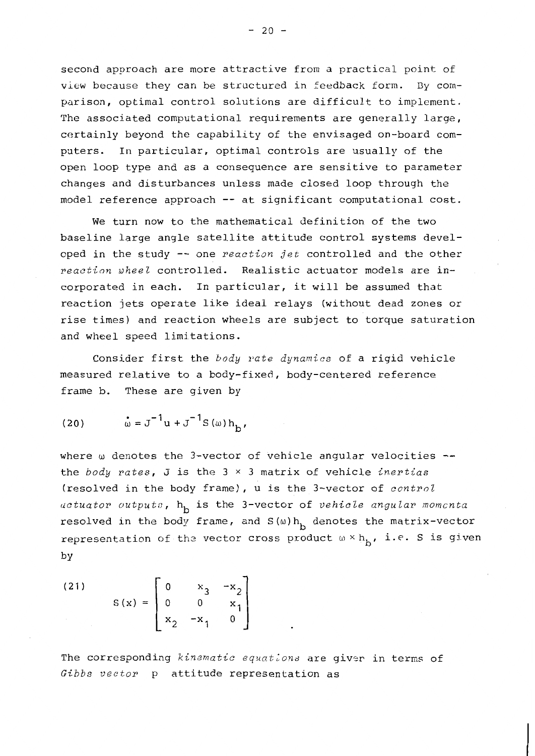second approach are more attractive from a practical point of view because they can be structured in feedback form. By comparison, optimal control solutions are difficult to implement. The associated computational requirements are generally large, certainly beyond the capability of the envisaged on-board computers. In particular, optimal controls are usually of the open loop type and as a consequence are sensitive to parameter changes and disturbances unless made closed loop through the model reference approach -- at significant computational cost.

We turn now to the mathematical definition of the two baseline large angle satellite attitude control systems developed in the study -- one reaction jet controlled and the other reaction wheel controlled. Realistic actuator models are incorporated in each. In particular, it will be assumed that reaction jets operate like ideal relays (without dead zones or rise times) and reaction wheels are subject to torque saturation and wheel speed limitations.

Consider first the body rate dynamics of a rigid vehicle measured relative to a body-fixed, body-centered reference frame b. These are given by

(20) 
$$
\dot{\omega} = J^{-1} u + J^{-1} S(\omega) h_b
$$
,

where w denotes the 3-vector of vehicle angular velocities -the body rates,  $J$  is the  $3 \times 3$  matrix of vehicle *inertias* (resolved in the body frame), u is the 3-vector of control actuator outputs, h<sub>b</sub> is the 3-vector of vehicle angular momenta resolved in the body frame, and  $S(\omega)h_h$  denotes the matrix-vector representation of the vector cross product  $\omega \times h_{\rm b}$ , i.e. S is given by

(21) 
$$
S(x) = \begin{bmatrix} 0 & x_3 & -x_2 \\ 0 & 0 & x_1 \\ x_2 & -x_1 & 0 \end{bmatrix}
$$

The corresponding kinematic equations are giver in terms of Gibbs vector p attitude representation as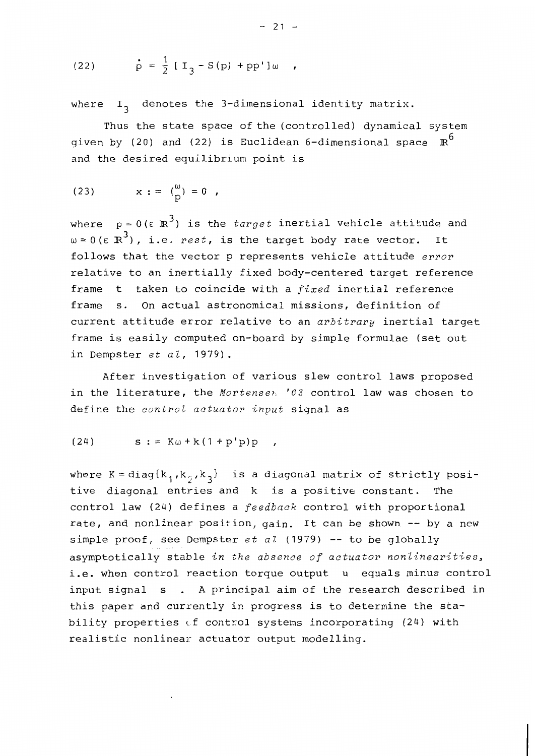(22) 
$$
\dot{p} = \frac{1}{2} [I_3 - S(p) + pp']\omega
$$
,

where  $I_2$  denotes the 3-dimensional identity matrix.

Thus the state space of the (controlled) dynamical system given by (20) and (22) is Euclidean 6-dimensional space  $\mathbb{R}^6$ and the desired equilibrium point is

(23) 
$$
x := {(\omega) \choose p} = 0
$$
,

where  $p = 0$  ( $\epsilon \mathbb{R}^3$ ) is the *target* inertial vehicle attitude and  $\omega = 0$  (ε  $\mathbb{R}^3$ ), i.e. rest, is the target body rate vector. It follows that the vector p represents vehicle attitude error relative to an inertially fixed body-centered target reference frame t taken to coincide with a fixed inertial reference frame s. On actual astronomical missions, definition of current attitude error relative to an arbitrary inertial target frame is easily computed on-board by simple formulae (set out in Dempster  $et$   $a1$ , 1979).

After investigation of various slew control laws proposed in the literature, the Mortensen '63 control law was chosen to define the control actuator input signal as

$$
(24) \qquad s := K\omega + k(1 + p'p)p
$$

where  $K = diag\{k_1, k_2, k_3\}$  is a diagonal matrix of strictly positive diagonal entries and k is a positive constant. The control law (24) defines a feedback control with proportional rate, and nonlinear position, gain. It can be shown -- by a new simple proof, see Dempster  $et$   $a\ell$  (1979) -- to be globally asymptotically stable in the absence of actuator nonlinearities, i.e. when control reaction torque output u equals minus control input signal s . A principal aim of the research described in this paper and currently in progress is to determine the stability properties of control systems incorporating (24) with realistic nonlinear actuator output modelling.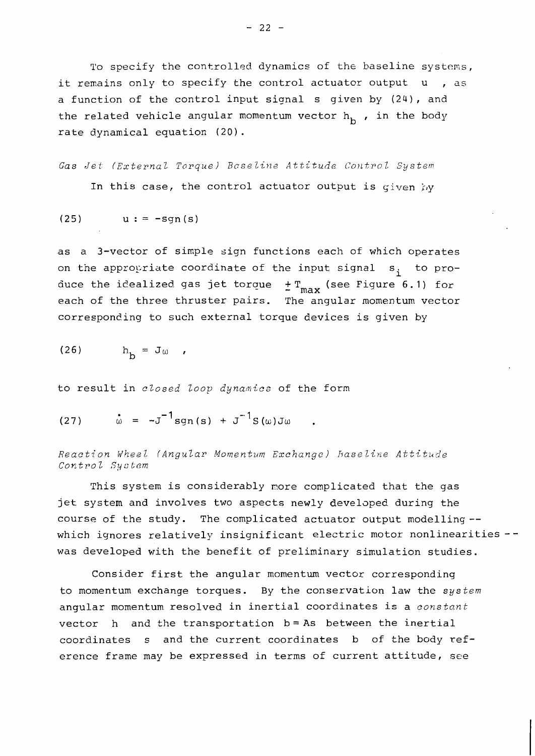To specify the controlled dynamics of the baseline systems, it remains only to specify the control actuator output u , as a function of the control input signal s given by (24), and the related vehicle angular momentum vector  $h_k$ , in the body rate dynamical equation (20).

 $(25)$  $u := -sgn(s)$ 

as a 3-vector of simple sign functions each of which operates on the appropriate coordinate of the input signal s, to produce the idealized gas jet torque  $\pm$  T<sub>max</sub> (see Figure 6.1) for each of the three thruster pairs. The angular momentum vector corresponding to such external torque devices is given by

$$
(26) \t\t\t hh = J0 ,
$$

to result in closed loop dynamics of the form

(27) 
$$
\dot{\omega} = -J^{-1}sgn(s) + J^{-1}S(\omega)J\omega
$$

Reaction Wheel (Angular Momentum Exchange) Baseline Attitude Control System

This system is considerably more complicated that the gas jet system and involves two aspects newly developed during the course of the study. The complicated actuator output modelling -which ignores relatively insignificant electric motor nonlinearities -was developed with the benefit of preliminary simulation studies.

Consider first the angular momentum vector corresponding to momentum exchange torques. By the conservation law the system angular momentum resolved in inertial coordinates is a constant vector  $h$  and the transportation  $b = As$  between the inertial coordinates s and the current coordinates b of the body reference frame may be expressed in terms of current attitude, see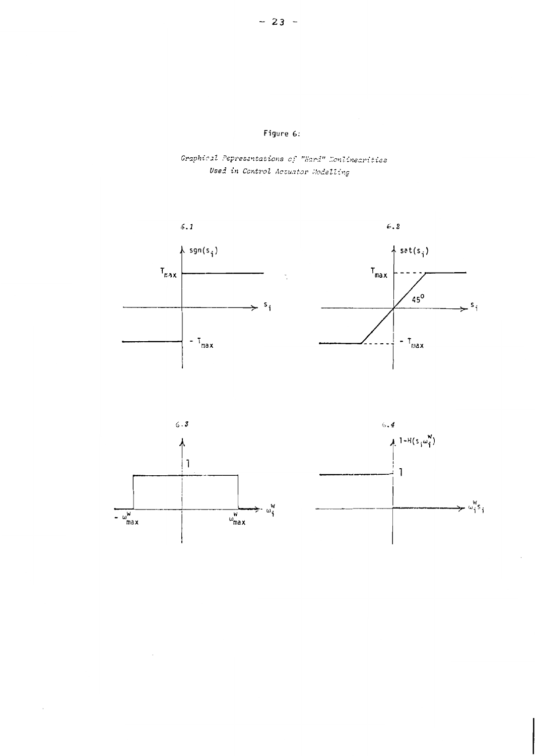Graphical Pepresentations of "Sard" Nonlinearities Used in Control Actuator Modelling





 $\hat{\mathcal{A}}$ 

 $\sim$ 

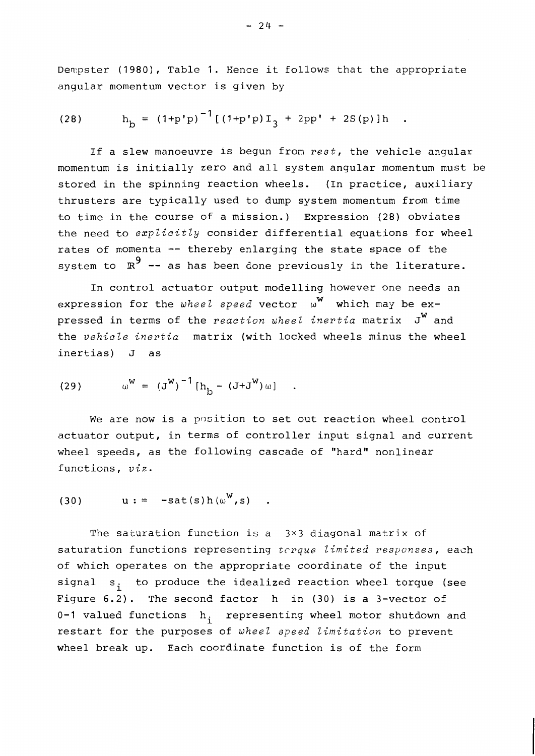Dempster (1980), Table 1. Hence it follows that the appropriate angular momentum vector is given by

(28) 
$$
h_{b} = (1+p'p)^{-1} [(1+p'p)I_{3} + 2pp' + 2S(p)]h
$$

If a slew manoeuvre is begun from rest, the vehicle angular momentum is initially zero and all system angular momentum must be stored in the spinning reaction wheels. (In practice, auxiliary thrusters are typically used to dump system momentum from time to time in the course of a mission.) Expression (28) obviates the need to explicitly consider differential equations for wheel rates of momenta -- thereby enlarging the state space of the system to  $\mathbb{R}^9$  -- as has been done previously in the literature.

In control actuator output modelling however one needs an expression for the wheel speed vector  $\omega^W$  which may be expressed in terms of the reaction wheel inertia matrix J<sup>W</sup> and the vehicle inertia matrix (with locked wheels minus the wheel inertias) J as

(29) 
$$
\omega^{W} = (J^{W})^{-1} [h_{1} - (J + J^{W}) \omega]
$$

We are now is a position to set out reaction wheel control actuator output, in terms of controller input signal and current wheel speeds, as the following cascade of "hard" nonlinear functions, viz.

$$
(30) \qquad u := -sat(s)h(\omega^W,s)
$$

The saturation function is a  $3\times3$  diagonal matrix of saturation functions representing terque limited responses, each of which operates on the appropriate coordinate of the input signal s, to produce the idealized reaction wheel torque (see Figure  $6.2$ ). The second factor h in (30) is a 3-vector of 0-1 valued functions h<sub>i</sub> representing wheel motor shutdown and restart for the purposes of wheel speed limitation to prevent wheel break up. Each coordinate function is of the form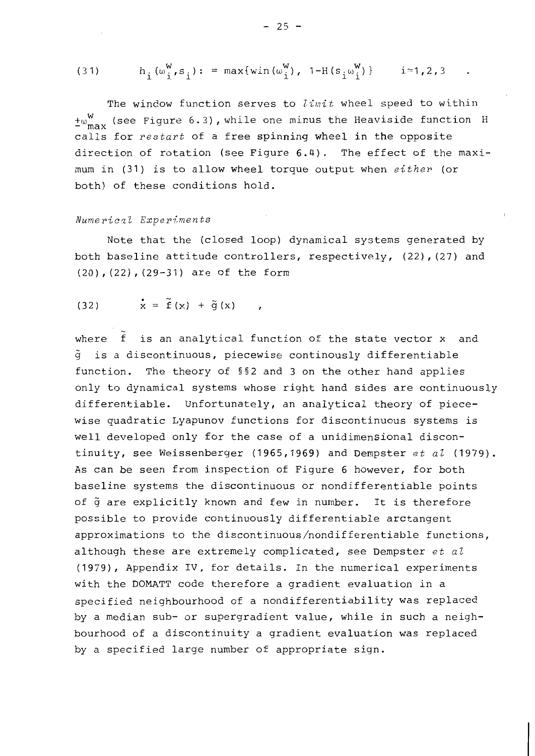(31) 
$$
h_i(\omega_i^W, s_i) := \max\{\min(\omega_i^W), 1-H(s_i\omega_i^W)\}\
$$
 i=1,2,3

The window function serves to limit wheel speed to within  $\pm \omega_{\text{max}}^W$  (see Figure 6.3), while one minus the Heaviside function H calls for restart of a free spinning wheel in the opposite direction of rotation (see Figure 6.4). The effect of the maximum in (31) is to allow wheel torque output when either (or both) of these conditions hold.

## Numerical Experiments

Note that the (closed loop) dynamical systems generated by both baseline attitude controllers, respectively, (22), (27) and (20), (22), (29-31) are of the form

$$
\dot{x} = \tilde{f}(x) + \tilde{g}(x)
$$

where f is an analytical function of the state vector x and  $\tilde{q}$  is a discontinuous, piecewise continously differentiable function. The theory of §§2 and 3 on the other hand applies only to dynamical systems whose right hand sides are continuously differentiable. Unfortunately, an analytical theory of piecewise quadratic Lyapunov functions for discontinuous systems is well developed only for the case of a unidimensional discontinuity, see Weissenberger (1965,1969) and Dempster  $et$   $a1$  (1979). As can be seen from inspection of Figure 6 however, for both baseline systems the discontinuous or nondifferentiable points of  $\tilde{q}$  are explicitly known and few in number. It is therefore possible to provide continuously differentiable arctangent approximations to the discontinuous/nondifferentiable functions, although these are extremely complicated, see Dempster  $et$  al (1979), Appendix IV, for details. In the numerical experiments with the DOMATT code therefore a gradient evaluation in a specified neighbourhood of a nondifferentiability was replaced by a median sub- or supergradient value, while in such a neighbourhood of a discontinuity a gradient evaluation was replaced by a specified large number of appropriate sign.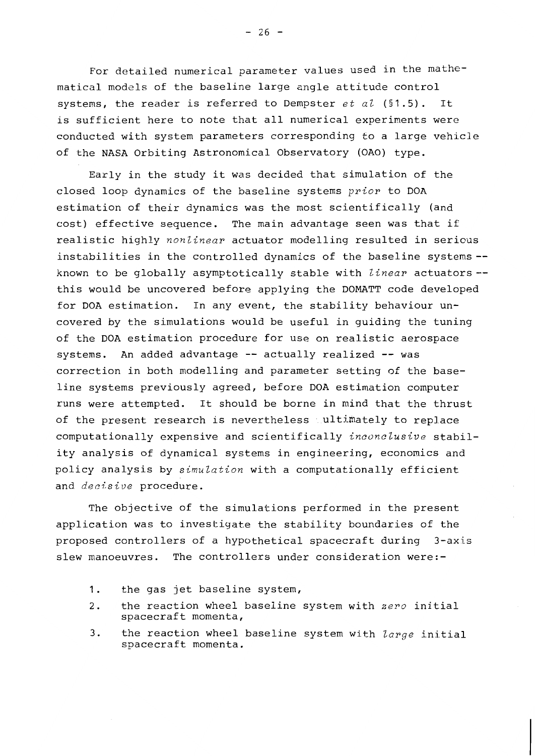For detailed numerical parameter values used in the mathematical models of the baseline large angle attitude control systems, the reader is referred to Dempster et al  $(§1.5)$ . It is sufficient here to note that all numerical experiments were conducted with system parameters corresponding to a large vehicle of the NASA Orbiting Astronomical Observatory (OAO) type.

Early in the study it was decided that simulation of the closed loop dynamics of the baseline systems prior to DOA estimation of their dynamics was the most scientifically (and cost) effective sequence. The main advantage seen was that if realistic highly nonlinear actuator modelling resulted in serious instabilities in the controlled dynamics of the baseline systems -known to be globally asymptotically stable with *linear* actuators -this would be uncovered before applying the DOMATT code developed for DOA estimation. In any event, the stability behaviour uncovered by the simulations would be useful in guiding the tuning of the DOA estimation procedure for use on realistic aerospace systems. An added advantage -- actually realized -- was correction in both modelling and parameter setting of the baseline systems previously agreed, before DOA estimation computer runs were attempted. It should be borne in mind that the thrust of the present research is nevertheless ultimately to replace computationally expensive and scientifically *inconclusive* stability analysis of dynamical systems in engineering, economics and policy analysis by simulation with a computationally efficient and decisive procedure.

The objective of the simulations performed in the present application was to investigate the stability boundaries of the proposed controllers of a hypothetical spacecraft during 3-axis slew manoeuvres. The controllers under consideration were:-

- $1.$ the gas jet baseline system,
- $2.$ the reaction wheel baseline system with zero initial spacecraft momenta,
- $3.$ the reaction wheel baseline system with large initial spacecraft momenta.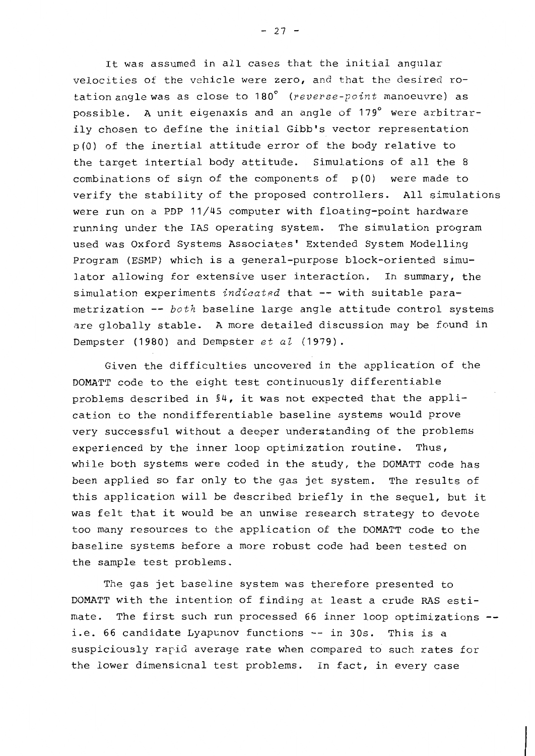It was assumed in all cases that the initial angular velocities of the vehicle were zero, and that the desired rotation angle was as close to 180° (reverse-point manoeuvre) as possible. A unit eigenaxis and an angle of 179° were arbitrarily chosen to define the initial Gibb's vector representation p(0) of the inertial attitude error of the body relative to the target intertial body attitude. Simulations of all the 8 combinations of sign of the components of  $p(0)$  were made to verify the stability of the proposed controllers. All simulations were run on a PDP 11/45 computer with floating-point hardware running under the IAS operating system. The simulation program used was Oxford Systems Associates' Extended System Modelling Program (ESMP) which is a general-purpose block-oriented simulator allowing for extensive user interaction. In summary, the simulation experiments indicated that -- with suitable parametrization -- both baseline large angle attitude control systems are globally stable. A more detailed discussion may be found in Dempster (1980) and Dempster et al (1979).

Given the difficulties uncovered in the application of the DOMATT code to the eight test continuously differentiable problems described in §4, it was not expected that the application to the nondifferentiable baseline systems would prove very successful without a deeper understanding of the problems experienced by the inner loop optimization routine. Thus, while both systems were coded in the study, the DOMATT code has been applied so far only to the gas jet system. The results of this application will be described briefly in the sequel, but it was felt that it would be an unwise research strategy to devote too many resources to the application of the DOMATT code to the baseline systems before a more robust code had been tested on the sample test problems.

The gas jet baseline system was therefore presented to DOMATT with the intention of finding at least a crude RAS estimate. The first such run processed 66 inner loop optimizations -i.e. 66 candidate Lyapunov functions -- in 30s. This is a suspiciously rapid average rate when compared to such rates for the lower dimensional test problems. In fact, in every case

 $-27 -$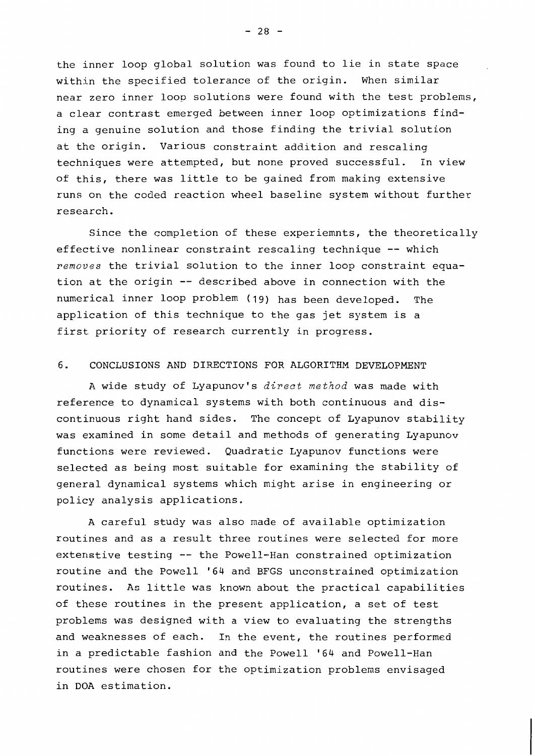the inner loop global solution was found to lie in state space within the specified tolerance of the origin. When similar near zero inner loop solutions were found with the test problems, a clear contrast emerged between inner loop optimizations finding a genuine solution and those finding the trivial solution at the origin. Various constraint addition and rescaling techniques were attempted, but none proved successful. In view of this, there was little to be gained from making extensive runs on the coded reaction wheel baseline system without further research.

Since the completion of these experiemnts, the theoretically effective nonlinear constraint rescaling technique -- which removes the trivial solution to the inner loop constraint equation at the origin -- described above in connection with the numerical inner loop problem (19) has been developed. The application of this technique to the gas jet system is a first priority of research currently in progress.

#### 6. CONCLUSIONS AND DIRECTIONS FOR ALGORITHM DEVELOPMENT

A wide study of Lyapunov's *direct method* was made with reference to dynamical systems with both continuous and discontinuous right hand sides. The concept of Lyapunov stability was examined in some detail and methods of generating Lyapunov functions were reviewed. Quadratic Lyapunov functions were selected as being most suitable for examining the stability of general dynamical systems which might arise in engineering or policy analysis applications.

A careful study was also made of available optimization routines and as a result three routines were selected for more extenstive testing -- the Powell-Han constrained optimization routine and the Powell '64 and BFGS unconstrained optimization routines. As little was known about the practical capabilities of these routines in the present application, a set of test problems was designed with a view to evaluating the strengths and weaknesses of each. In the event, the routines performed in a predictable fashion and the Powell '64 and Powell-Han routines were chosen for the optimization problems envisaged in DOA estimation.

 $-28 -$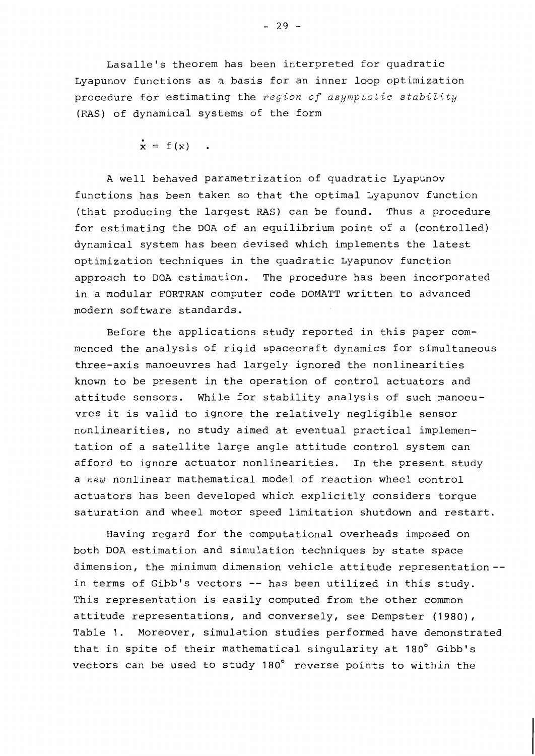Lasalle's theorem has been interpreted for quadratic Lyapunov functions as a basis for an inner loop optimization procedure for estimating the region of asymptotic stability (RAS) of dynamical systems of the form

$$
\dot{\mathbf{x}} = \mathbf{f}(\mathbf{x})
$$

A well behaved parametrization of quadratic Lyapunov functions has been taken so that the optimal Lyapunov function (that producing the largest RAS) can be found. Thus a procedure for estimating the DOA of an equilibrium point of a (controlled) dynamical system has been devised which implements the latest optimization techniques in the quadratic Lyapunov function approach to DOA estimation. The procedure has been incorporated in a modular FORTRAN computer code DOMATT written to advanced modern software standards.

Before the applications study reported in this paper commenced the analysis of rigid spacecraft dynamics for simultaneous three-axis manoeuvres had largely ignored the nonlinearities known to be present in the operation of control actuators and attitude sensors. While for stability analysis of such manoeuvres it is valid to ignore the relatively negligible sensor nonlinearities, no study aimed at eventual practical implementation of a satellite large angle attitude control system can afford to ignore actuator nonlinearities. In the present study a new nonlinear mathematical model of reaction wheel control actuators has been developed which explicitly considers torque saturation and wheel motor speed limitation shutdown and restart.

Having regard for the computational overheads imposed on both DOA estimation and simulation techniques by state space dimension, the minimum dimension vehicle attitude representation-in terms of Gibb's vectors -- has been utilized in this study. This representation is easily computed from the other common attitude representations, and conversely, see Dempster (1980), Table 1. Moreover, simulation studies performed have demonstrated that in spite of their mathematical singularity at 180° Gibb's vectors can be used to study 180° reverse points to within the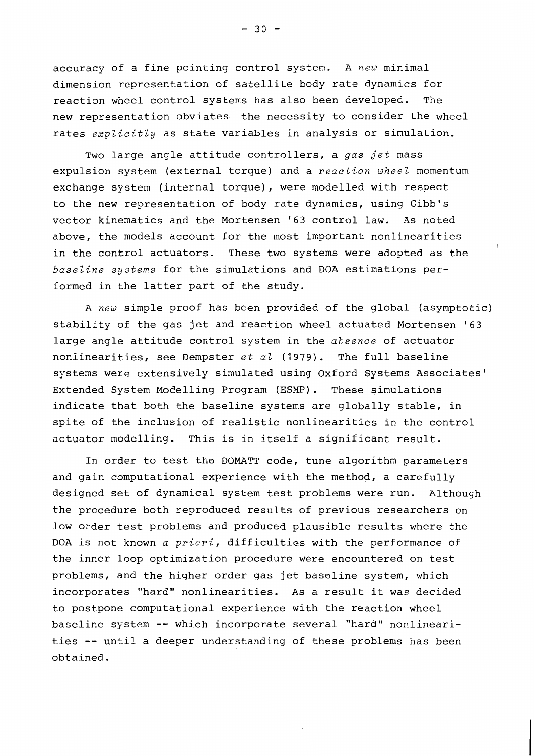accuracy of a fine pointing control system. A new minimal dimension representation of satellite body rate dynamics for reaction wheel control systems has also been developed. The new representation obviates: the necessity to consider the wheel rates explicitly as state variables in analysis or simulation.

Two large angle attitude controllers, a gas jet mass expulsion system (external torque) and a reaction wheel momentum exchange system (internal torque), were modelled with respect to the new representation of body rate dynamics, using Gibb's vector kinematics and the Mortensen '63 control law. As noted above, the models account for the most important nonlinearities in the control actuators. These two systems were adopted as the baseline systems for the simulations and DOA estimations performed in the latter part of the study.

A new simple proof has been provided of the global (asymptotic) stability of the gas jet and reaction wheel actuated Mortensen '63 large angle attitude control system in the absence of actuator nonlinearities, see Dempster et al (1979). The full baseline systems were extensively simulated using Oxford Systems Associates' Extended System Modelling Program (ESMP). These simulations indicate that both the baseline systems are globally stable, in spite of the inclusion of realistic nonlinearities in the control actuator modelling. This is in itself a significant result.

In order to test the DOMATT code, tune algorithm parameters and gain computational experience with the method, a carefully designed set of dynamical system test problems were run. Although the procedure both reproduced results of previous researchers on low order test problems and produced plausible results where the DOA is not known a priori, difficulties with the performance of the inner loop optimization procedure were encountered on test problems, and the higher order gas jet baseline system, which incorporates "hard" nonlinearities. As a result it was decided to postpone computational experience with the reaction wheel baseline system -- which incorporate several "hard" nonlinearities -- until a deeper understanding of these problems has been obtained.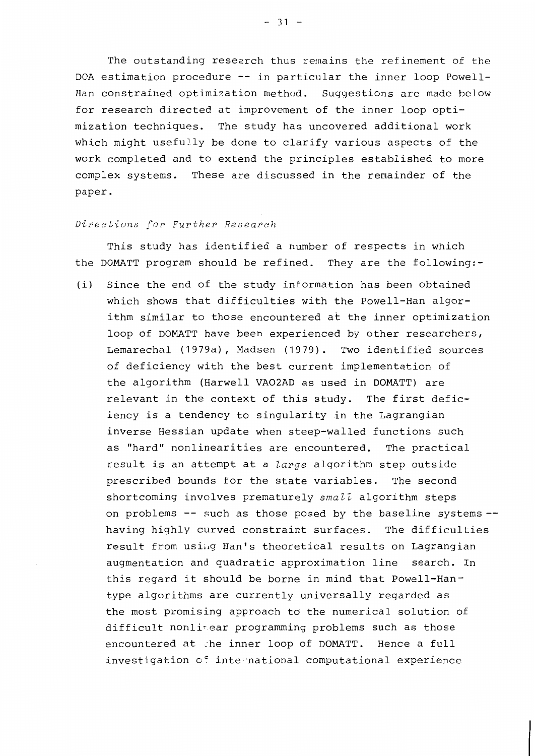The outstanding research thus remains the refinement of the DOA estimation procedure -- in particular the inner loop Powell-Han constrained optimization method. Suggestions are made below for research directed at improvement of the inner loop optimization techniques. The study has uncovered additional work which might usefully be done to clarify various aspects of the work completed and to extend the principles established to more complex systems. These are discussed in the remainder of the paper.

### Directions for Further Research

This study has identified a number of respects in which the DOMATT program should be refined. They are the following:-

Since the end of the study information has been obtained  $(i)$ which shows that difficulties with the Powell-Han algorithm similar to those encountered at the inner optimization loop of DOMATT have been experienced by other researchers, Lemarechal (1979a), Madsen (1979). Two identified sources of deficiency with the best current implementation of the algorithm (Harwell VAO2AD as used in DOMATT) are relevant in the context of this study. The first deficiency is a tendency to singularity in the Lagrangian inverse Hessian update when steep-walled functions such as "hard" nonlinearities are encountered. The practical result is an attempt at a *large* algorithm step outside prescribed bounds for the state variables. The second shortcoming involves prematurely small algorithm steps on problems -- such as those posed by the baseline systems -having highly curved constraint surfaces. The difficulties result from using Han's theoretical results on Lagrangian augmentation and quadratic approximation line search. In this regard it should be borne in mind that Powell-Hantype algorithms are currently universally regarded as the most promising approach to the numerical solution of difficult nonlinear programming problems such as those encountered at the inner loop of DOMATT. Hence a full investigation of international computational experience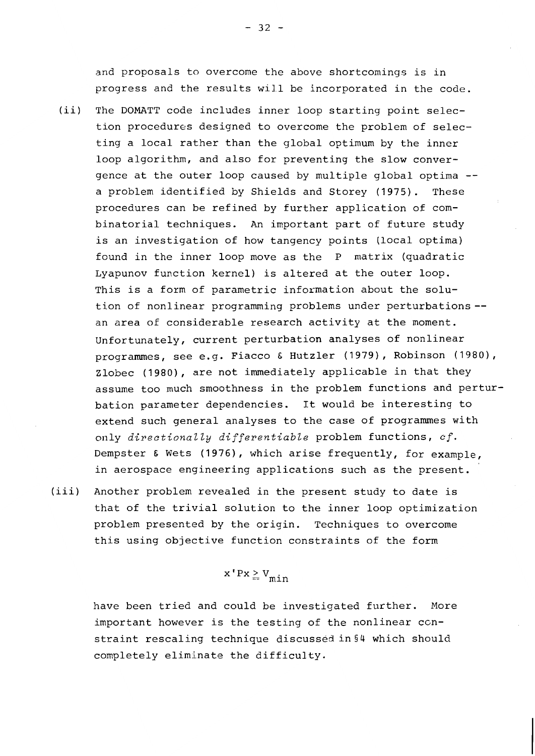and proposals to overcome the above shortcomings is in progress and the results will be incorporated in the code.

- $(iii)$ The DOMATT code includes inner loop starting point selection procedures designed to overcome the problem of selecting a local rather than the global optimum by the inner loop algorithm, and also for preventing the slow convergence at the outer loop caused by multiple global optima -a problem identified by Shields and Storey (1975). These procedures can be refined by further application of combinatorial techniques. An important part of future study is an investigation of how tangency points (local optima) found in the inner loop move as the P matrix (quadratic Lyapunov function kernel) is altered at the outer loop. This is a form of parametric information about the solution of nonlinear programming problems under perturbations -an area of considerable research activity at the moment. Unfortunately, current perturbation analyses of nonlinear programmes, see e.g. Fiacco & Hutzler (1979), Robinson (1980), Zlobec (1980), are not immediately applicable in that they assume too much smoothness in the problem functions and perturbation parameter dependencies. It would be interesting to extend such general analyses to the case of programmes with only directionally differentiable problem functions, cf. Dempster & Wets (1976), which arise frequently, for example, in aerospace engineering applications such as the present.
- $(iii)$ Another problem revealed in the present study to date is that of the trivial solution to the inner loop optimization problem presented by the origin. Techniques to overcome this using objective function constraints of the form

$$
x'Px \geq V_{\text{min}}
$$

have been tried and could be investigated further. More important however is the testing of the nonlinear constraint rescaling technique discussed in §4 which should completely eliminate the difficulty.

 $-32 -$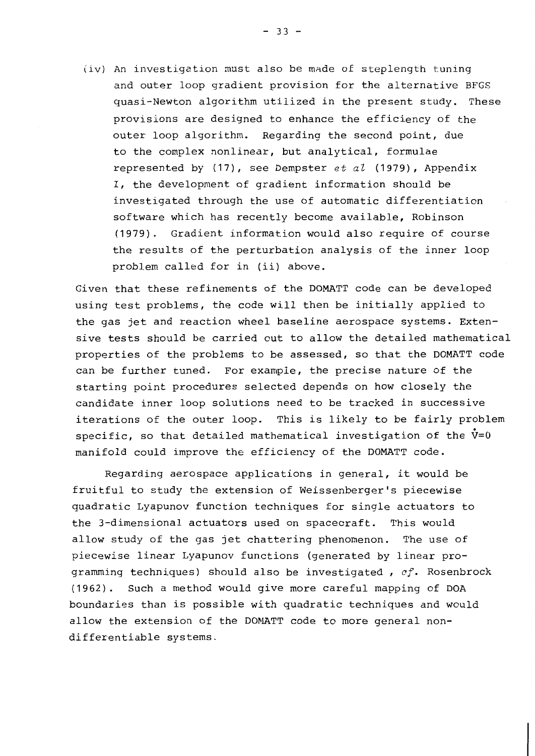(iv) An investigation must also be made of steplength tuning and outer loop gradient provision for the alternative BFGS quasi-Newton algorithm utilized in the present study. These provisions are designed to enhance the efficiency of the outer loop algorithm. Regarding the second point, due to the complex nonlinear, but analytical, formulae represented by  $(17)$ , see Dempster et al  $(1979)$ , Appendix I, the development of gradient information should be investigated through the use of automatic differentiation software which has recently become available, Robinson  $(1979)$ . Gradient information would also require of course the results of the perturbation analysis of the inner loop problem called for in (ii) above.

Given that these refinements of the DOMATT code can be developed using test problems, the code will then be initially applied to the gas jet and reaction wheel baseline aerospace systems. Extensive tests should be carried out to allow the detailed mathematical properties of the problems to be assessed, so that the DOMATT code can be further tuned. For example, the precise nature of the starting point procedures selected depends on how closely the candidate inner loop solutions need to be tracked in successive iterations of the outer loop. This is likely to be fairly problem specific, so that detailed mathematical investigation of the  $\dot{v}=0$ manifold could improve the efficiency of the DOMATT code.

Regarding aerospace applications in general, it would be fruitful to study the extension of Weissenberger's piecewise quadratic Lyapunov function techniques for single actuators to the 3-dimensional actuators used on spacecraft. This would allow study of the gas jet chattering phenomenon. The use of piecewise linear Lyapunov functions (generated by linear programming techniques) should also be investigated, cf. Rosenbrock (1962). Such a method would give more careful mapping of DOA boundaries than is possible with quadratic techniques and would allow the extension of the DOMATT code to more general nondifferentiable systems.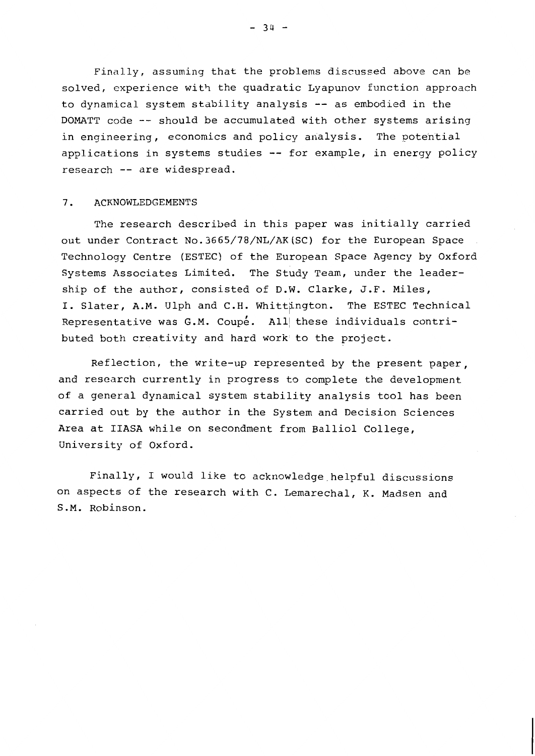Finally, assuming that the problems discussed above can be solved, experience with the quadratic Lyapunov function approach to dynamical system stability analysis -- as embodied in the DOMATT code -- should be accumulated with other systems arising in engineering, economics and policy analysis. The potential applications in systems studies -- for example, in energy policy research -- are widespread.

#### $7.$ **ACKNOWLEDGEMENTS**

The research described in this paper was initially carried out under Contract No. 3665/78/NL/AK(SC) for the European Space Technology Centre (ESTEC) of the European Space Agency by Oxford Systems Associates Limited. The Study Team, under the leadership of the author, consisted of D.W. Clarke, J.F. Miles, I. Slater, A.M. Ulph and C.H. Whittington. The ESTEC Technical Representative was G.M. Coupé. All these individuals contributed both creativity and hard work to the project.

Reflection, the write-up represented by the present paper, and research currently in progress to complete the development of a general dynamical system stability analysis tool has been carried out by the author in the System and Decision Sciences Area at IIASA while on secondment from Balliol College, University of Oxford.

Finally, I would like to acknowledge helpful discussions on aspects of the research with C. Lemarechal, K. Madsen and S.M. Robinson.

 $-34 -$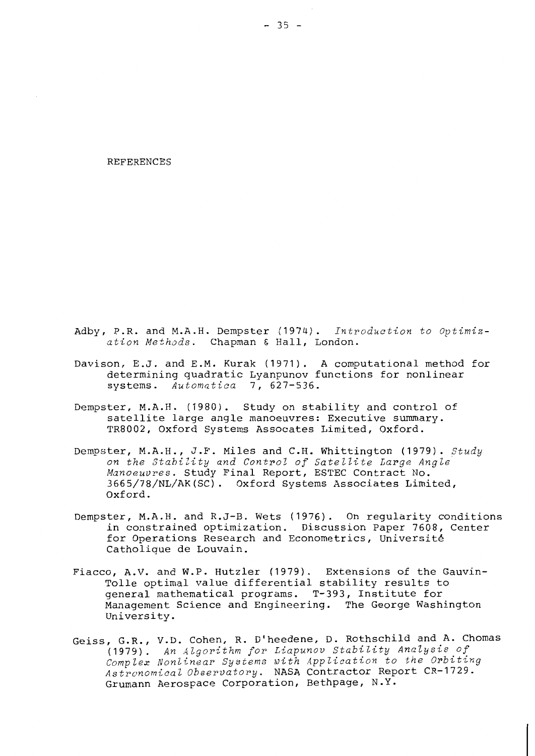**REFERENCES** 

- Adby, P.R. and M.A.H. Dempster (1974). Introduction to Optimization Methods. Chapman & Hall, London.
- Davison, E.J. and E.M. Kurak (1971). A computational method for determining quadratic Lyanpunov functions for nonlinear systems. Automatica 7, 627-536.
- Dempster, M.A.H. (1980). Study on stability and control of satellite large angle manoeuvres: Executive summary. TR8002, Oxford Systems Assocates Limited, Oxford.
- Dempster, M.A.H., J.F. Miles and C.H. Whittington (1979). Study on the Stability and Control of Satellite Large Angle Manoeuvres. Study Final Report, ESTEC Contract No. 3665/78/NL/AK(SC). Oxford Systems Associates Limited, Oxford.
- Dempster, M.A.H. and R.J-B. Wets (1976). On regularity conditions in constrained optimization. Discussion Paper 7608, Center for Operations Research and Econometrics, Université Catholique de Louvain.
- Fiacco, A.V. and W.P. Hutzler (1979). Extensions of the Gauvin-Tolle optimal value differential stability results to general mathematical programs. T-393, Institute for Management Science and Engineering. The George Washington University.
- Geiss, G.R., V.D. Cohen, R. D'heedene, D. Rothschild and A. Chomas (1979). An Algorithm for Liapunov Stability Analysis of Complex Nonlinear Systems with Application to the Orbiting Astronomical Observatory. NASA Contractor Report CR-1729. Grumann Aerospace Corporation, Bethpage, N.Y.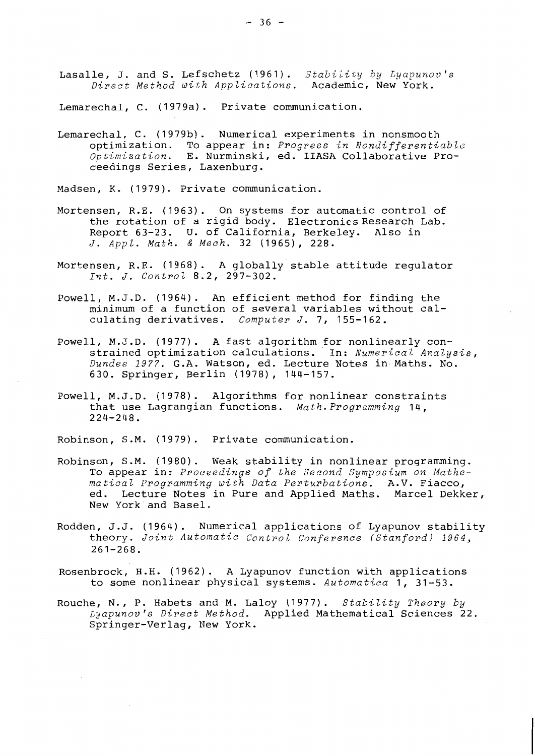Lasalle, J. and S. Lefschetz (1961). Stability by Lyapunov's Direct Method with Applications. Academic, New York.

Lemarechal, C. (1979a). Private communication.

Lemarechal, C. (1979b). Numerical experiments in nonsmooth optimization. To appear in: Progress in Nondifferentiable Optimization. E. Nurminski, ed. IIASA Collaborative Proceedings Series, Laxenburg.

Madsen, K. (1979). Private communication.

- Mortensen, R.E. (1963). On systems for automatic control of the rotation of a rigid body. Electronics Research Lab. Report 63-23. U. of California, Berkeley. Also in J. Appl. Math. & Mech. 32 (1965), 228.
- Mortensen, R.E. (1968). A globally stable attitude regulator Int. J. Control 8.2, 297-302.
- Powell, M.J.D. (1964). An efficient method for finding the minimum of a function of several variables without calculating derivatives. Computer J. 7, 155-162.
- Powell, M.J.D. (1977). A fast algorithm for nonlinearly constrained optimization calculations. In: Numerical Analysis, Dundee 1977. G.A. Watson, ed. Lecture Notes in Maths. No. 630. Springer, Berlin (1978), 144-157.
- Powell, M.J.D. (1978). Algorithms for nonlinear constraints that use Lagrangian functions. Math. Programming 14,  $224 - 248$ .

Robinson, S.M. (1979). Private communication.

- Robinson, S.M. (1980). Weak stability in nonlinear programming. To appear in: Proceedings of the Second Symposium on Mathematical Programming with Data Perturbations. A.V. Fiacco, ed. Lecture Notes in Pure and Applied Maths. Marcel Dekker, New York and Basel.
- Rodden, J.J. (1964). Numerical applications of Lyapunov stability theory. Joint Automatic Control Conference (Stanford) 1964,  $261 - 268$ .
- Rosenbrock, H.H. (1962). A Lyapunov function with applications to some nonlinear physical systems. Automatica 1, 31-53.
- Rouche, N., P. Habets and M. Laloy (1977). Stability Theory by Lyapunov's Direct Method. Applied Mathematical Sciences 22. Springer-Verlag, New York.